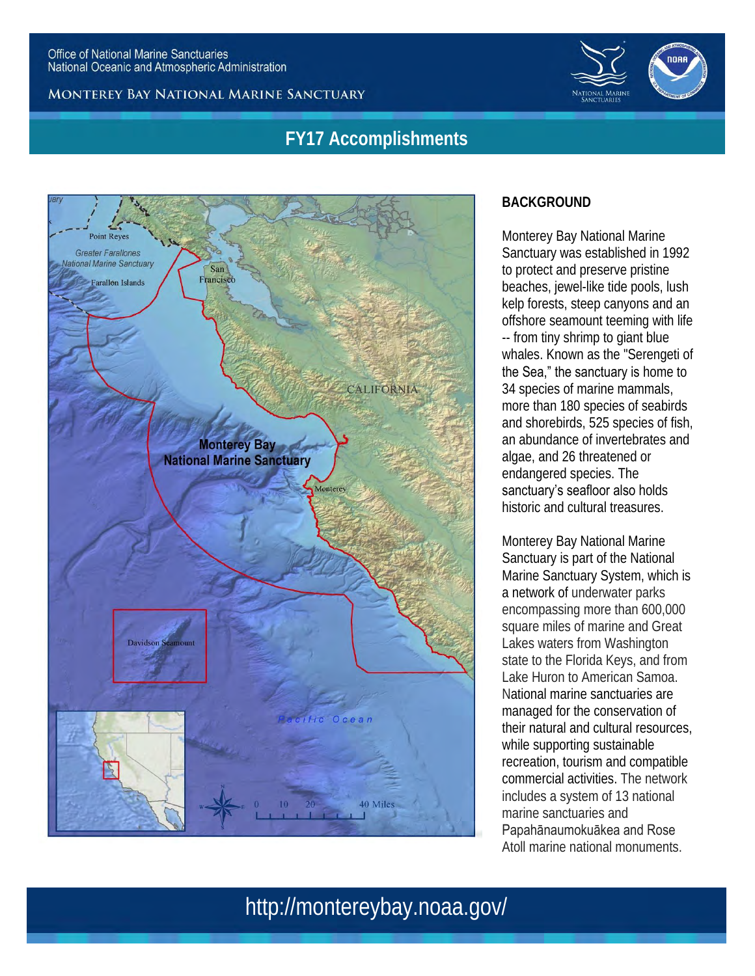



### **FY17 Accomplishments**



### **BACKGROUND**

Monterey Bay National Marine Sanctuary was established in 1992 to protect and preserve pristine beaches, jewel-like tide pools, lush kelp forests, steep canyons and an offshore seamount teeming with life -- from tiny shrimp to giant blue whales. Known as the "Serengeti of the Sea," the sanctuary is home to 34 species of marine mammals, more than 180 species of seabirds and shorebirds, 525 species of fish, an abundance of invertebrates and algae, and 26 threatened or endangered species. The sanctuary's seafloor also holds historic and cultural treasures.

Monterey Bay National Marine Sanctuary is part of the National Marine Sanctuary System, which is a network of underwater parks encompassing more than 600,000 square miles of marine and Great Lakes waters from Washington state to the Florida Keys, and from Lake Huron to American Samoa. National marine sanctuaries are managed for the conservation of their natural and cultural resources, while supporting sustainable recreation, tourism and compatible commercial activities. The network includes a system of 13 national marine sanctuaries and

Papahānaumokuākea and Rose Atoll marine national monuments.

# http://montereybay.noaa.gov/